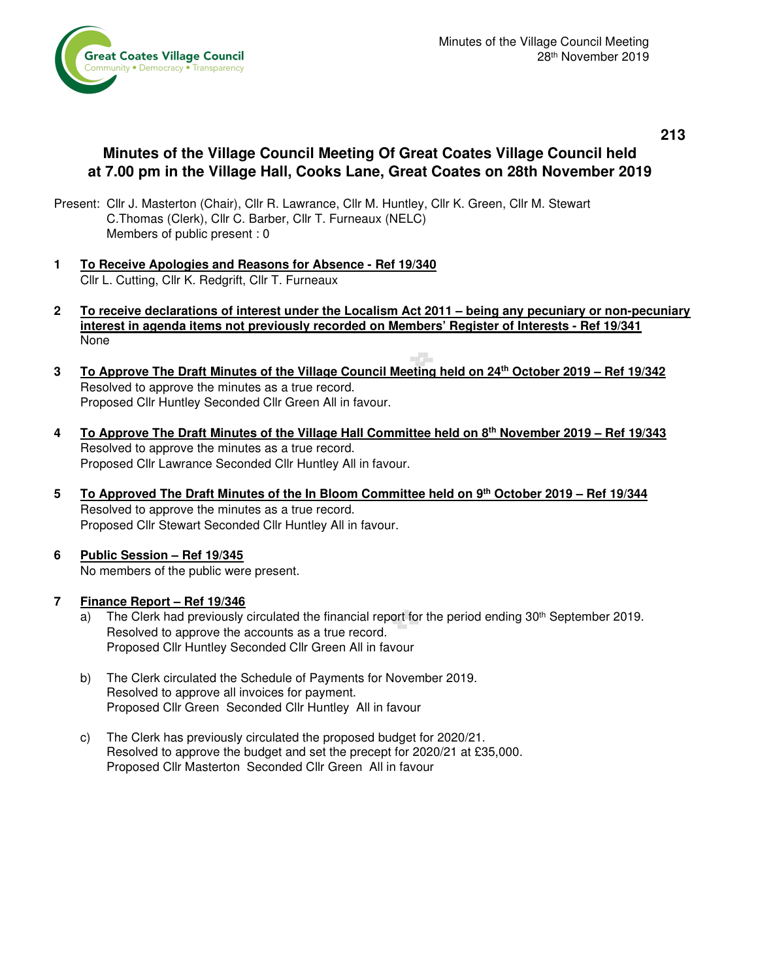

## **213**

# **Minutes of the Village Council Meeting Of Great Coates Village Council held at 7.00 pm in the Village Hall, Cooks Lane, Great Coates on 28th November 2019**

- Present: Cllr J. Masterton (Chair), Cllr R. Lawrance, Cllr M. Huntley, Cllr K. Green, Cllr M. Stewart C.Thomas (Clerk), Cllr C. Barber, Cllr T. Furneaux (NELC) Members of public present : 0
- **1 To Receive Apologies and Reasons for Absence Ref 19/340** Cllr L. Cutting, Cllr K. Redgrift, Cllr T. Furneaux
- **2 To receive declarations of interest under the Localism Act 2011 being any pecuniary or non-pecuniary interest in agenda items not previously recorded on Members' Register of Interests - Ref 19/341**  None
- **3 To Approve The Draft Minutes of the Village Council Meeting held on 24th October 2019 Ref 19/342** Resolved to approve the minutes as a true record. Proposed Cllr Huntley Seconded Cllr Green All in favour.
- **4 To Approve The Draft Minutes of the Village Hall Committee held on 8th November 2019 Ref 19/343** Resolved to approve the minutes as a true record. Proposed Cllr Lawrance Seconded Cllr Huntley All in favour.
- **5 To Approved The Draft Minutes of the In Bloom Committee held on 9th October 2019 Ref 19/344** Resolved to approve the minutes as a true record. Proposed Cllr Stewart Seconded Cllr Huntley All in favour.
- **6 Public Session Ref 19/345**  No members of the public were present.

## **7 Finance Report – Ref 19/346**

- a) The Clerk had previously circulated the financial report for the period ending 30<sup>th</sup> September 2019. Resolved to approve the accounts as a true record. Proposed Cllr Huntley Seconded Cllr Green All in favour
- b) The Clerk circulated the Schedule of Payments for November 2019. Resolved to approve all invoices for payment. Proposed Cllr Green Seconded Cllr Huntley All in favour
- c) The Clerk has previously circulated the proposed budget for 2020/21. Resolved to approve the budget and set the precept for 2020/21 at £35,000. Proposed Cllr Masterton Seconded Cllr Green All in favour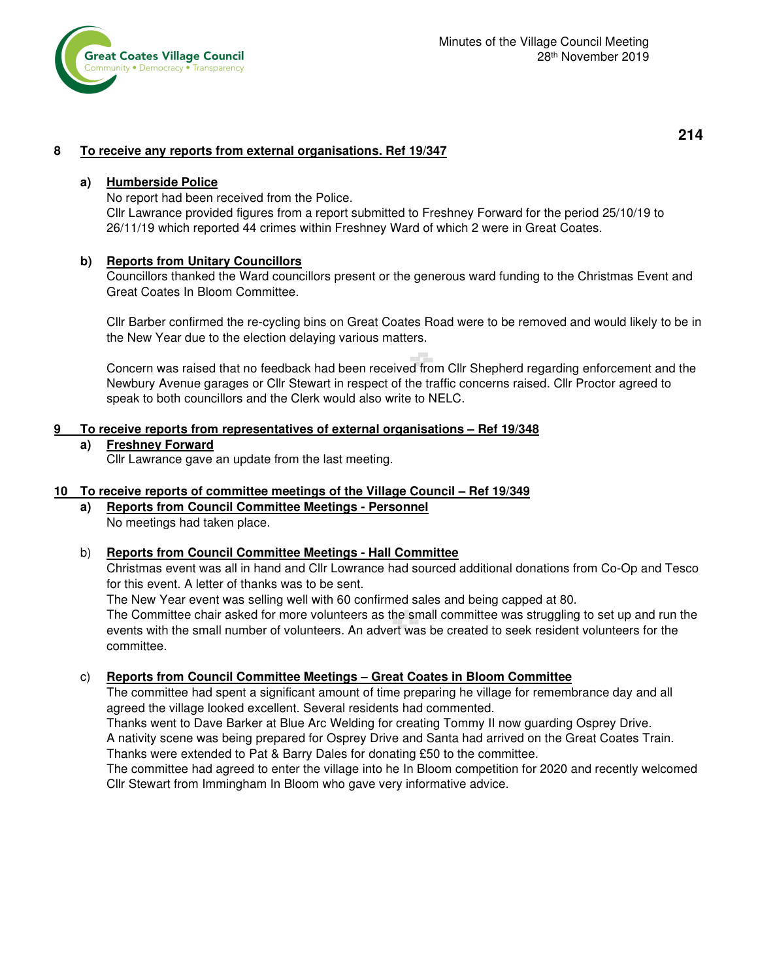

# **214**

## **8 To receive any reports from external organisations. Ref 19/347**

### **a) Humberside Police**

No report had been received from the Police.

Cllr Lawrance provided figures from a report submitted to Freshney Forward for the period 25/10/19 to 26/11/19 which reported 44 crimes within Freshney Ward of which 2 were in Great Coates.

### **b) Reports from Unitary Councillors**

 Councillors thanked the Ward councillors present or the generous ward funding to the Christmas Event and Great Coates In Bloom Committee.

 Cllr Barber confirmed the re-cycling bins on Great Coates Road were to be removed and would likely to be in the New Year due to the election delaying various matters.

 Concern was raised that no feedback had been received from Cllr Shepherd regarding enforcement and the Newbury Avenue garages or Cllr Stewart in respect of the traffic concerns raised. Cllr Proctor agreed to speak to both councillors and the Clerk would also write to NELC.

### **9 To receive reports from representatives of external organisations – Ref 19/348**

#### **a) Freshney Forward**

Cllr Lawrance gave an update from the last meeting.

### **10 To receive reports of committee meetings of the Village Council – Ref 19/349**

#### **a) Reports from Council Committee Meetings - Personnel** No meetings had taken place.

## b) **Reports from Council Committee Meetings - Hall Committee**

 Christmas event was all in hand and Cllr Lowrance had sourced additional donations from Co-Op and Tesco for this event. A letter of thanks was to be sent.

The New Year event was selling well with 60 confirmed sales and being capped at 80.

 The Committee chair asked for more volunteers as the small committee was struggling to set up and run the events with the small number of volunteers. An advert was be created to seek resident volunteers for the committee.

## c) **Reports from Council Committee Meetings – Great Coates in Bloom Committee**

 The committee had spent a significant amount of time preparing he village for remembrance day and all agreed the village looked excellent. Several residents had commented.

 Thanks went to Dave Barker at Blue Arc Welding for creating Tommy II now guarding Osprey Drive. A nativity scene was being prepared for Osprey Drive and Santa had arrived on the Great Coates Train. Thanks were extended to Pat & Barry Dales for donating £50 to the committee.

 The committee had agreed to enter the village into he In Bloom competition for 2020 and recently welcomed Cllr Stewart from Immingham In Bloom who gave very informative advice.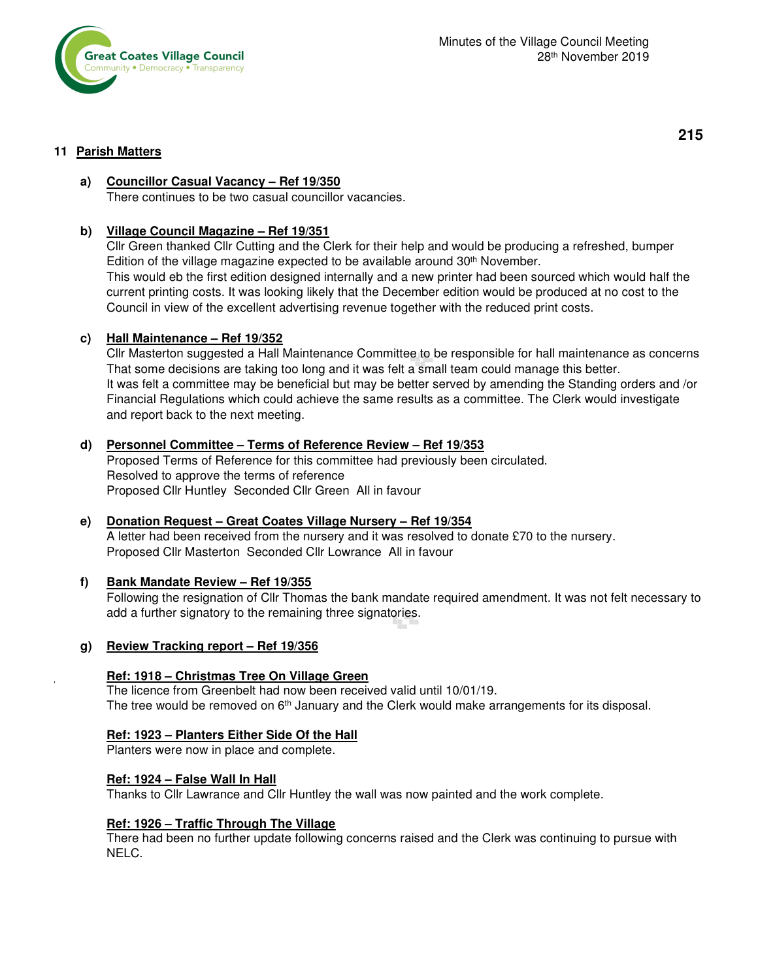

### **11 Parish Matters**

**215** 

# **a) Councillor Casual Vacancy – Ref 19/350**

There continues to be two casual councillor vacancies.

## **b) Village Council Magazine – Ref 19/351**

 Cllr Green thanked Cllr Cutting and the Clerk for their help and would be producing a refreshed, bumper Edition of the village magazine expected to be available around  $30<sup>th</sup>$  November. This would eb the first edition designed internally and a new printer had been sourced which would half the current printing costs. It was looking likely that the December edition would be produced at no cost to the Council in view of the excellent advertising revenue together with the reduced print costs.

## **c) Hall Maintenance – Ref 19/352**

 Cllr Masterton suggested a Hall Maintenance Committee to be responsible for hall maintenance as concerns That some decisions are taking too long and it was felt a small team could manage this better. It was felt a committee may be beneficial but may be better served by amending the Standing orders and /or Financial Regulations which could achieve the same results as a committee. The Clerk would investigate and report back to the next meeting.

## **d) Personnel Committee – Terms of Reference Review – Ref 19/353**

 Proposed Terms of Reference for this committee had previously been circulated. Resolved to approve the terms of reference Proposed Cllr Huntley Seconded Cllr Green All in favour

## **e) Donation Request – Great Coates Village Nursery – Ref 19/354**  A letter had been received from the nursery and it was resolved to donate £70 to the nursery.

Proposed Cllr Masterton Seconded Cllr Lowrance All in favour

## **f) Bank Mandate Review – Ref 19/355**

 Following the resignation of Cllr Thomas the bank mandate required amendment. It was not felt necessary to add a further signatory to the remaining three signatories.

## **g) Review Tracking report – Ref 19/356**

## **Ref: 1918 – Christmas Tree On Village Green**

 The licence from Greenbelt had now been received valid until 10/01/19. The tree would be removed on 6<sup>th</sup> January and the Clerk would make arrangements for its disposal.

## **Ref: 1923 – Planters Either Side Of the Hall**

Planters were now in place and complete.

## **Ref: 1924 – False Wall In Hall**

Thanks to Cllr Lawrance and Cllr Huntley the wall was now painted and the work complete.

#### **Ref: 1926 – Traffic Through The Village**

There had been no further update following concerns raised and the Clerk was continuing to pursue with NELC.